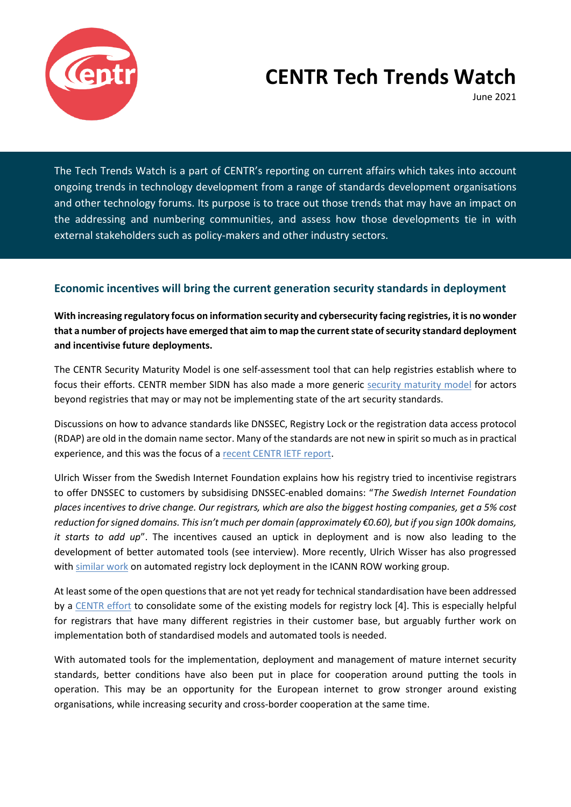

## **CENTR Tech Trends Watch**

June 2021

The Tech Trends Watch is a part of CENTR's reporting on current affairs which takes into account ongoing trends in technology development from a range of standards development organisations and other technology forums. Its purpose is to trace out those trends that may have an impact on the addressing and numbering communities, and assess how those developments tie in with external stakeholders such as policy-makers and other industry sectors.

## **Economic incentives will bring the current generation security standards in deployment**

**With increasing regulatory focus on information security and cybersecurity facing registries, it is no wonder that a number of projects have emerged that aim to map the current state of security standard deployment and incentivise future deployments.** 

The CENTR Security Maturity Model is one self-assessment tool that can help registries establish where to focus their efforts. CENTR member SIDN has also made a more generic [security maturity model](https://www.sidn.nl/en/news-and-blogs/a-maturity-model-for-modern-internet-standards) for actors beyond registries that may or may not be implementing state of the art security standards.

Discussions on how to advance standards like DNSSEC, Registry Lock or the registration data access protocol (RDAP) are old in the domain name sector. Many of the standards are not new in spirit so much as in practical experience, and this was the focus of a [recent CENTR IETF report.](https://centr.org/news/blog/ietf110-dnssec.html)

Ulrich Wisser from the Swedish Internet Foundation explains how his registry tried to incentivise registrars to offer DNSSEC to customers by subsidising DNSSEC-enabled domains: "*The Swedish Internet Foundation places incentives to drive change. Our registrars, which are also the biggest hosting companies, get a 5% cost reduction for signed domains. This isn't much per domain (approximately €0.60), but if you sign 100k domains, it starts to add up*". The incentives caused an uptick in deployment and is now also leading to the development of better automated tools (see interview). More recently, Ulrich Wisser has also progressed with [similar work](https://regiops.net/wp-content/uploads/2021/06/3-ROW10-Ulrich-Wisser-Registry-Lock-Automation.pdf) on automated registry lock deployment in the ICANN ROW working group.

At least some of the open questions that are not yet ready for technical standardisation have been addressed by a [CENTR effort](https://centr.org/news/news/centr-publishes-white-paper-on-registry-lock-models.html) to consolidate some of the existing models for registry lock [4]. This is especially helpful for registrars that have many different registries in their customer base, but arguably further work on implementation both of standardised models and automated tools is needed.

With automated tools for the implementation, deployment and management of mature internet security standards, better conditions have also been put in place for cooperation around putting the tools in operation. This may be an opportunity for the European internet to grow stronger around existing organisations, while increasing security and cross-border cooperation at the same time.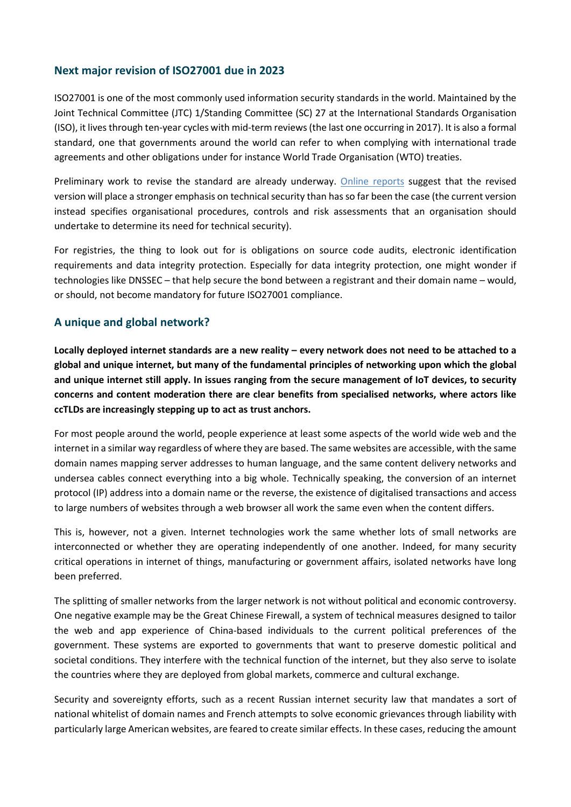## **Next major revision of ISO27001 due in 2023**

ISO27001 is one of the most commonly used information security standards in the world. Maintained by the Joint Technical Committee (JTC) 1/Standing Committee (SC) 27 at the International Standards Organisation (ISO), it lives through ten-year cycles with mid-term reviews (the last one occurring in 2017). It is also a formal standard, one that governments around the world can refer to when complying with international trade agreements and other obligations under for instance World Trade Organisation (WTO) treaties.

Preliminary work to revise the standard are already underway. [Online reports](https://27k1.com/iso-27001-are-you-ready-for-the-changes-due-in-2023) suggest that the revised version will place a stronger emphasis on technical security than has so far been the case (the current version instead specifies organisational procedures, controls and risk assessments that an organisation should undertake to determine its need for technical security).

For registries, the thing to look out for is obligations on source code audits, electronic identification requirements and data integrity protection. Especially for data integrity protection, one might wonder if technologies like DNSSEC – that help secure the bond between a registrant and their domain name – would, or should, not become mandatory for future ISO27001 compliance.

## **A unique and global network?**

**Locally deployed internet standards are a new reality – every network does not need to be attached to a global and unique internet, but many of the fundamental principles of networking upon which the global and unique internet still apply. In issues ranging from the secure management of IoT devices, to security concerns and content moderation there are clear benefits from specialised networks, where actors like ccTLDs are increasingly stepping up to act as trust anchors.**

For most people around the world, people experience at least some aspects of the world wide web and the internet in a similar way regardless of where they are based. The same websites are accessible, with the same domain names mapping server addresses to human language, and the same content delivery networks and undersea cables connect everything into a big whole. Technically speaking, the conversion of an internet protocol (IP) address into a domain name or the reverse, the existence of digitalised transactions and access to large numbers of websites through a web browser all work the same even when the content differs.

This is, however, not a given. Internet technologies work the same whether lots of small networks are interconnected or whether they are operating independently of one another. Indeed, for many security critical operations in internet of things, manufacturing or government affairs, isolated networks have long been preferred.

The splitting of smaller networks from the larger network is not without political and economic controversy. One negative example may be the Great Chinese Firewall, a system of technical measures designed to tailor the web and app experience of China-based individuals to the current political preferences of the government. These systems are exported to governments that want to preserve domestic political and societal conditions. They interfere with the technical function of the internet, but they also serve to isolate the countries where they are deployed from global markets, commerce and cultural exchange.

Security and sovereignty efforts, such as a recent Russian internet security law that mandates a sort of national whitelist of domain names and French attempts to solve economic grievances through liability with particularly large American websites, are feared to create similar effects. In these cases, reducing the amount